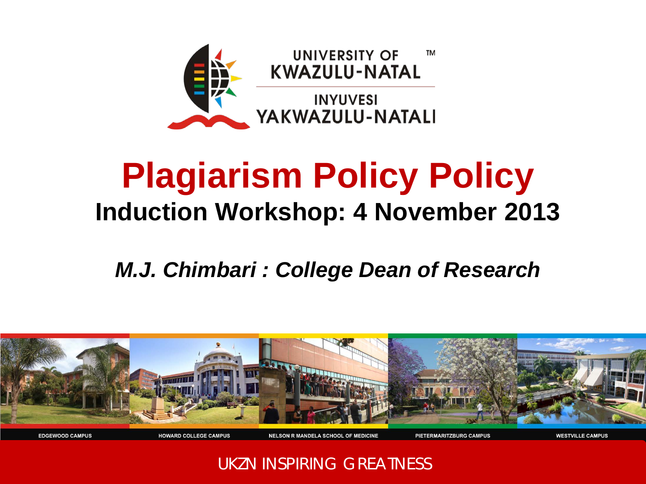

## **Plagiarism Policy Policy Induction Workshop: 4 November 2013**

### *M.J. Chimbari : College Dean of Research*



UKZN INSPIRING GREATNESS

**NELSON R MANDELA SCHOOL OF MEDICINE** 

PIETERMARITZBURG CAMPUS

**WESTVILLE CAMPUS** 

**HOWARD COLLEGE CAMPUS** 

**EDGEWOOD CAMPUS**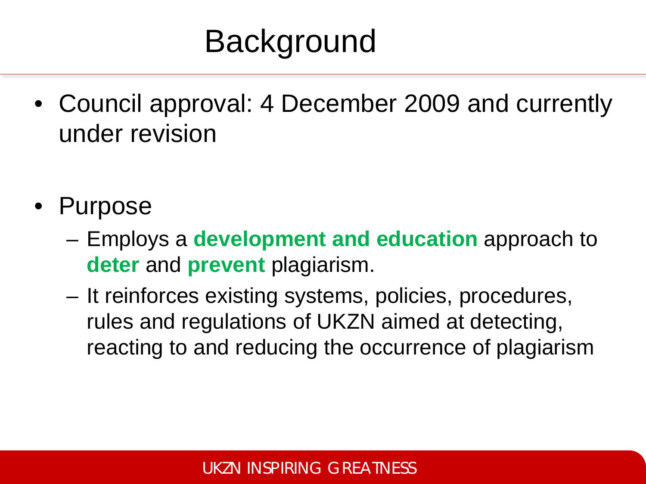# **Background**

- Council approval: 4 December 2009 and currently under revision
- Purpose
	- Employs a **development and education** approach to **deter** and **prevent** plagiarism.
	- It reinforces existing systems, policies, procedures, rules and regulations of UKZN aimed at detecting, reacting to and reducing the occurrence of plagiarism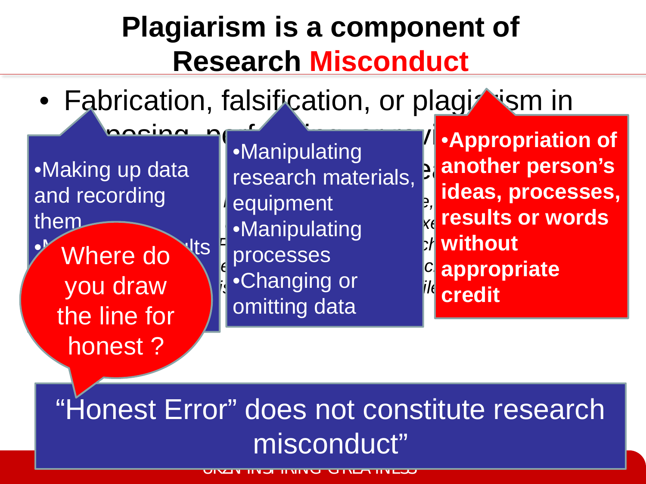## **Plagiarism is a component of Research Misconduct**

• Fabrication, falsification, or plagizesm in

•Making up data and recording them

**Where do Nullet** and report them in the set of the set of the set of the set of the set of the set of the set of the set of the set of the<br>The set of the set of the set of the set of the set of the set of the set of the set of the set of the set of <br> you draw the line for honest ?

aking up data  $\bigcap_{i=1}^{\infty}$  research materials,  $\bigcup_{i=1}^{\infty}$  another person *{Smith (Journal of the Royal Society of Medicine, Volume 99), quoting*  equipment **Executive Computation and the Science of Science and technology Policy Policy, Executive Office of the Science of the Science of the Policy Policy Policy of the Science of the Science of the Science of the Science of the** *President. Federal Policy on Research Misconduct:*  **without**  www.crc.de.access.gpo.gpo.gpo.gpo.gpo.gpo.gpo.gp/dbname=2000\_repress.gpmg.gpmg.gp<br>Appropriate integrate appropriate integrate appropriate **b example of** the contract of the contract of the contract of the contract of the contract of the contract of the contract of the contract of the contract of the contract of the contract of the contract of the contract •Manipulating processes omitting data

**Exaction of Constitution Propriation of another person's ideas, processes, results or words credit**

## "Honest Error" does not constitute research misconduct"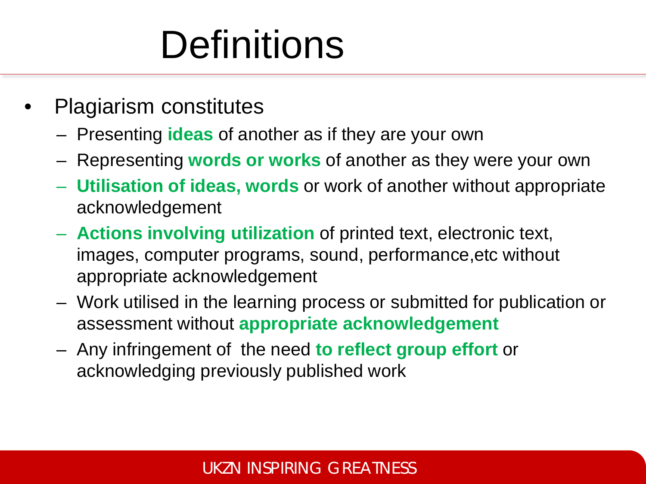# **Definitions**

- Plagiarism constitutes
	- Presenting **ideas** of another as if they are your own
	- Representing **words or works** of another as they were your own
	- **Utilisation of ideas, words** or work of another without appropriate acknowledgement
	- **Actions involving utilization** of printed text, electronic text, images, computer programs, sound, performance,etc without appropriate acknowledgement
	- Work utilised in the learning process or submitted for publication or assessment without **appropriate acknowledgement**
	- Any infringement of the need **to reflect group effort** or acknowledging previously published work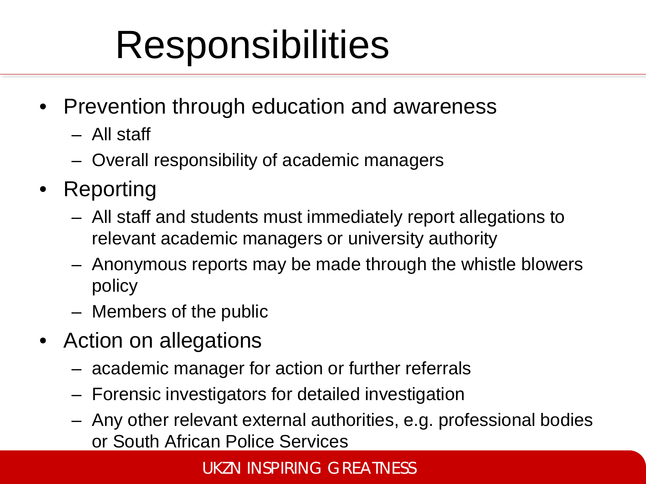# **Responsibilities**

- Prevention through education and awareness
	- All staff
	- Overall responsibility of academic managers
- Reporting
	- All staff and students must immediately report allegations to relevant academic managers or university authority
	- Anonymous reports may be made through the whistle blowers policy
	- Members of the public
- Action on allegations
	- academic manager for action or further referrals
	- Forensic investigators for detailed investigation
	- Any other relevant external authorities, e.g. professional bodies or South African Police Services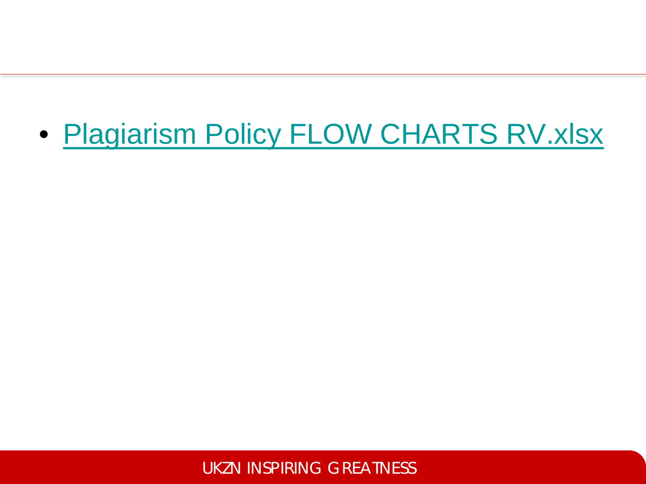## • Plagiarism Policy FLOW CHARTS RV.xlsx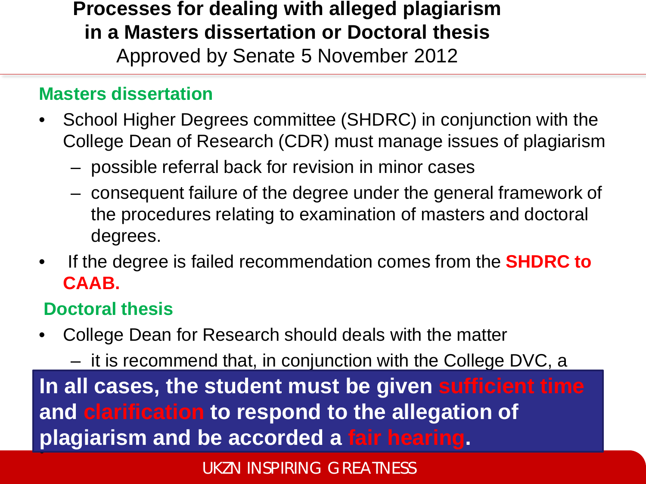**Processes for dealing with alleged plagiarism in a Masters dissertation or Doctoral thesis** Approved by Senate 5 November 2012

### **Masters dissertation**

- School Higher Degrees committee (SHDRC) in conjunction with the College Dean of Research (CDR) must manage issues of plagiarism
	- possible referral back for revision in minor cases
	- consequent failure of the degree under the general framework of the procedures relating to examination of masters and doctoral degrees.
- If the degree is failed recommendation comes from the **SHDRC to CAAB.**

### **Doctoral thesis**

• College Dean for Research should deals with the matter

– it is recommend that, in conjunction with the College DVC, a In all cases, the student must be given sufficient time the Carification to respond to the allegation of the model is the possible of the case of the case of the case of the case of the case of the case of the case of • **and clarification to respond to the allegation of plagiarism and be accorded a fair hearing.**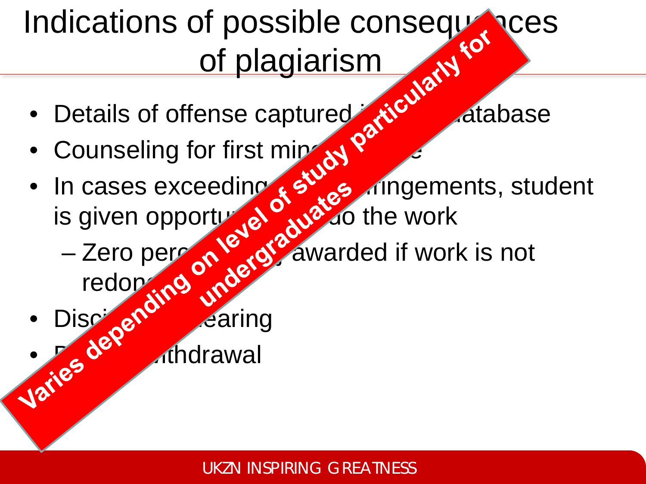# Indications of possible consequences<br>of plagiarism<br>• Details of offense captured sticklesse of plagiarism

- Details of offense captured in SMS database
- Counseling for first mines of the set
- In cases exceeding  $\mathcal{E}$ ,  $\mathcal{E}$  ingements, student is given opportunity to the work
	- $-$  Zero per  $\left(\sqrt{0}\right)$  awarded if work is not redon<sub>d</sub>
- Dische<sup>r H</sup>earing • Ze<sup>der</sup> Ahdrawal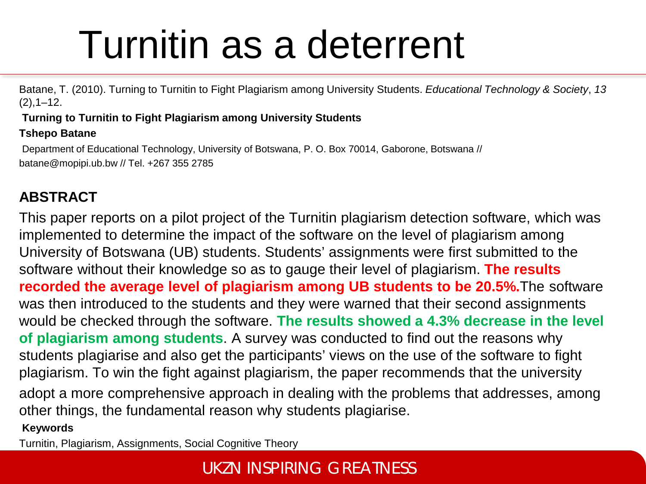# Turnitin as a deterrent

Batane, T. (2010). Turning to Turnitin to Fight Plagiarism among University Students. *Educational Technology & Society*, *13*   $(2), 1 - 12.$ 

#### **Turning to Turnitin to Fight Plagiarism among University Students**

### **Tshepo Batane**

Department of Educational Technology, University of Botswana, P. O. Box 70014, Gaborone, Botswana // batane@mopipi.ub.bw // Tel. +267 355 2785

### **ABSTRACT**

This paper reports on a pilot project of the Turnitin plagiarism detection software, which was implemented to determine the impact of the software on the level of plagiarism among University of Botswana (UB) students. Students' assignments were first submitted to the software without their knowledge so as to gauge their level of plagiarism. **The results recorded the average level of plagiarism among UB students to be 20.5%.**The software was then introduced to the students and they were warned that their second assignments would be checked through the software. **The results showed a 4.3% decrease in the level of plagiarism among students**. A survey was conducted to find out the reasons why students plagiarise and also get the participants' views on the use of the software to fight plagiarism. To win the fight against plagiarism, the paper recommends that the university adopt a more comprehensive approach in dealing with the problems that addresses, among other things, the fundamental reason why students plagiarise. **Keywords**

Turnitin, Plagiarism, Assignments, Social Cognitive Theory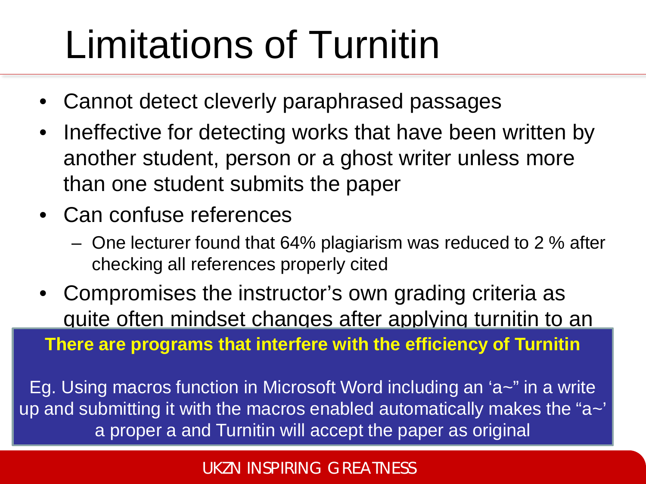# Limitations of Turnitin

- Cannot detect cleverly paraphrased passages
- Ineffective for detecting works that have been written by another student, person or a ghost writer unless more than one student submits the paper
- Can confuse references
	- One lecturer found that 64% plagiarism was reduced to 2 % after checking all references properly cited
- Compromises the instructor's own grading criteria as quite often mindset changes after applying turnitin to an **There are programs that interfere with the efficiency of Turnitin**

Eg. Using macros function in Microsoft Word including an 'a~" in a write up and submitting it with the macros enabled automatically makes the "a~' a proper a and Turnitin will accept the paper as original